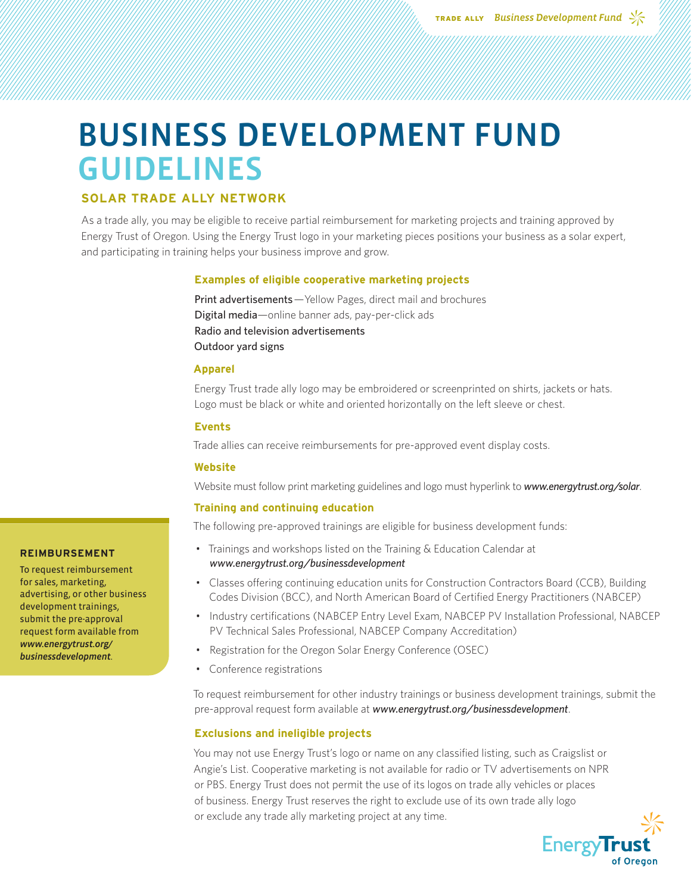# BUSINESS DEVELOPMENT FUND GUIDELINES

# **SOLAR TRADE ALLY NETWORK**

As a trade ally, you may be eligible to receive partial reimbursement for marketing projects and training approved by Energy Trust of Oregon. Using the Energy Trust logo in your marketing pieces positions your business as a solar expert, and participating in training helps your business improve and grow.

# **Examples of eligible cooperative marketing projects**

Print advertisements—Yellow Pages, direct mail and brochures Digital media—online banner ads, pay-per-click ads Radio and television advertisements Outdoor yard signs

# **Apparel**

Energy Trust trade ally logo may be embroidered or screenprinted on shirts, jackets or hats. Logo must be black or white and oriented horizontally on the left sleeve or chest.

# **Events**

Trade allies can receive reimbursements for pre-approved event display costs.

#### **Website**

Website must follow print marketing guidelines and logo must hyperlink to *www.energytrust.org/solar*.

# **Training and continuing education**

The following pre-approved trainings are eligible for business development funds:

- Trainings and workshops listed on the Training & Education Calendar at *www.energytrust.org/businessdevelopment*
- Classes offering continuing education units for Construction Contractors Board (CCB), Building Codes Division (BCC), and North American Board of Certified Energy Practitioners (NABCEP)
- Industry certifications (NABCEP Entry Level Exam, NABCEP PV Installation Professional, NABCEP PV Technical Sales Professional, NABCEP Company Accreditation)
- Registration for the Oregon Solar Energy Conference (OSEC)
- Conference registrations

To request reimbursement for other industry trainings or business development trainings, submit the pre-approval request form available at *www.energytrust.org/businessdevelopment*.

# **Exclusions and ineligible projects**

You may not use Energy Trust's logo or name on any classified listing, such as Craigslist or Angie's List. Cooperative marketing is not available for radio or TV advertisements on NPR or PBS. Energy Trust does not permit the use of its logos on trade ally vehicles or places of business. Energy Trust reserves the right to exclude use of its own trade ally logo or exclude any trade ally marketing project at any time.



#### **REIMBURSEMENT**

To request reimbursement for sales, marketing, advertising, or other business development trainings, submit the pre-approval request form available from *www.energytrust.org/ businessdevelopment*.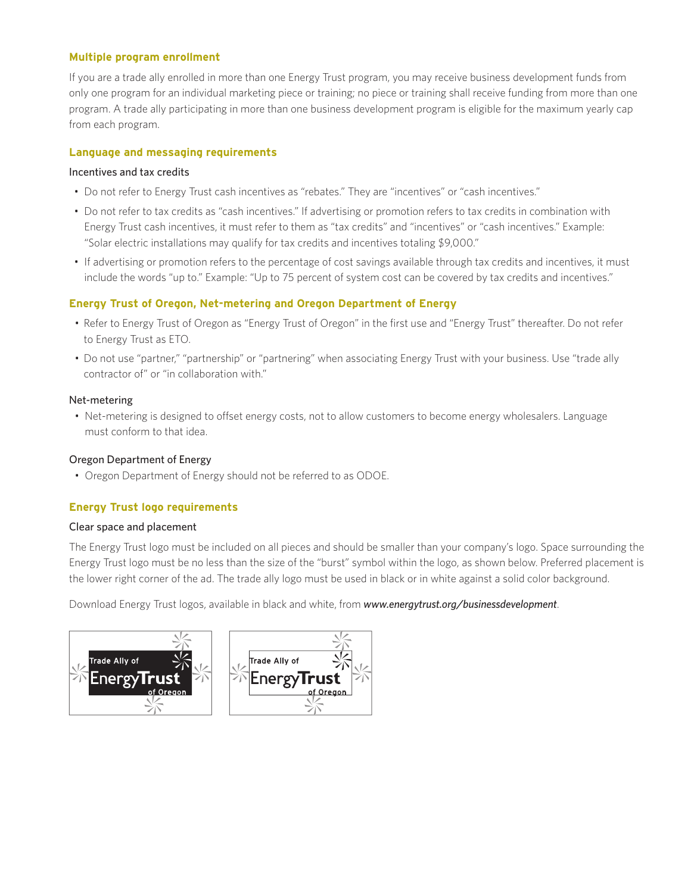# **Multiple program enrollment**

If you are a trade ally enrolled in more than one Energy Trust program, you may receive business development funds from only one program for an individual marketing piece or training; no piece or training shall receive funding from more than one program. A trade ally participating in more than one business development program is eligible for the maximum yearly cap from each program.

# **Language and messaging requirements**

# Incentives and tax credits

- Do not refer to Energy Trust cash incentives as "rebates." They are "incentives" or "cash incentives."
- Do not refer to tax credits as "cash incentives." If advertising or promotion refers to tax credits in combination with Energy Trust cash incentives, it must refer to them as "tax credits" and "incentives" or "cash incentives." Example: "Solar electric installations may qualify for tax credits and incentives totaling \$9,000."
- If advertising or promotion refers to the percentage of cost savings available through tax credits and incentives, it must include the words "up to." Example: "Up to 75 percent of system cost can be covered by tax credits and incentives."

# **Energy Trust of Oregon, Net-metering and Oregon Department of Energy**

- Refer to Energy Trust of Oregon as "Energy Trust of Oregon" in the first use and "Energy Trust" thereafter. Do not refer to Energy Trust as ETO.
- Do not use "partner," "partnership" or "partnering" when associating Energy Trust with your business. Use "trade ally contractor of" or "in collaboration with."

# Net-metering

• Net-metering is designed to offset energy costs, not to allow customers to become energy wholesalers. Language must conform to that idea.

# Oregon Department of Energy

• Oregon Department of Energy should not be referred to as ODOE.

# **Energy Trust logo requirements**

# Clear space and placement

The Energy Trust logo must be included on all pieces and should be smaller than your company's logo. Space surrounding the Energy Trust logo must be no less than the size of the "burst" symbol within the logo, as shown below. Preferred placement is the lower right corner of the ad. The trade ally logo must be used in black or in white against a solid color background.

Download Energy Trust logos, available in black and white, from *www.energytrust.org/businessdevelopment*.